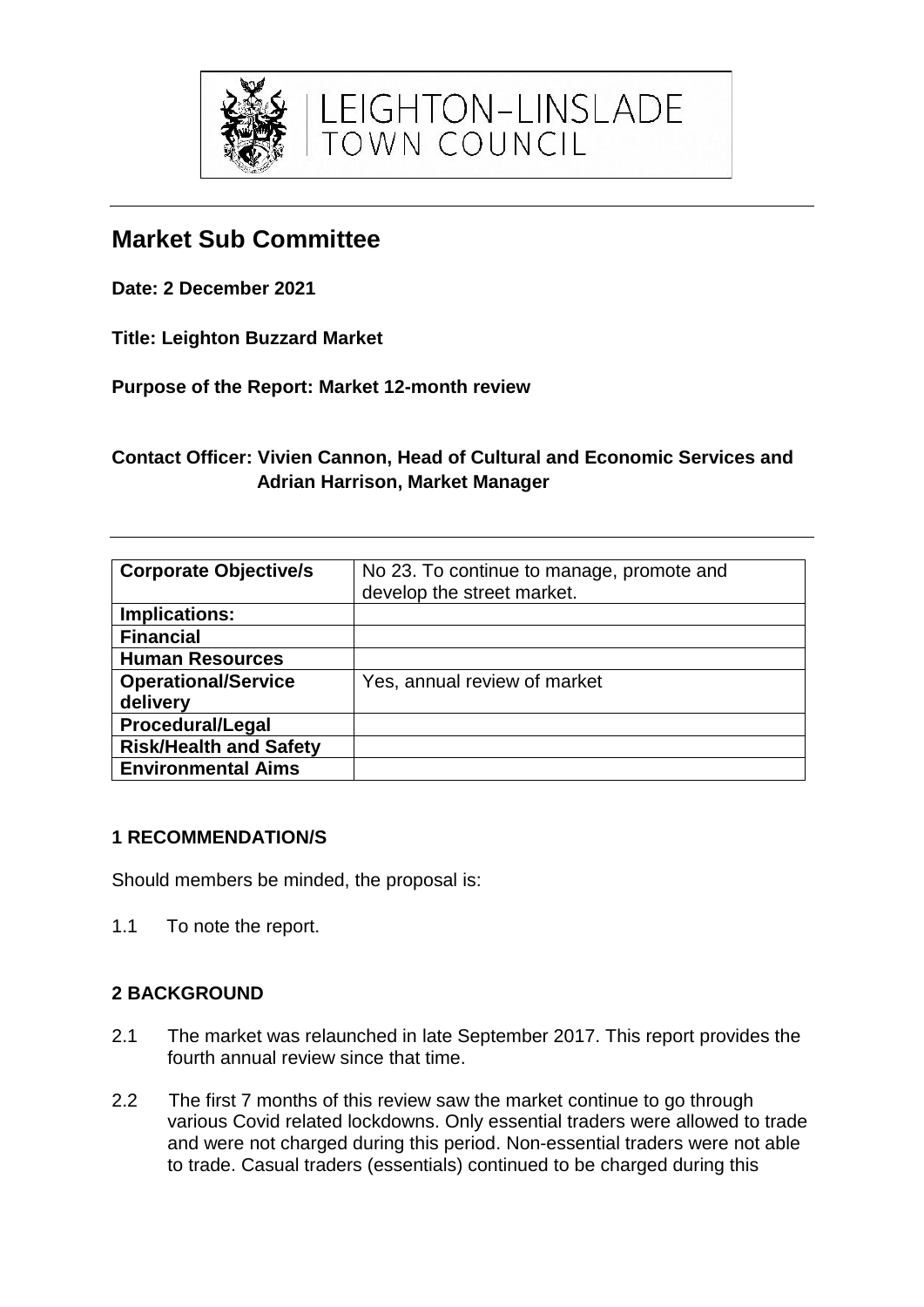

# **Market Sub Committee**

**Date: 2 December 2021**

**Title: Leighton Buzzard Market**

**Purpose of the Report: Market 12-month review**

# **Contact Officer: Vivien Cannon, Head of Cultural and Economic Services and Adrian Harrison, Market Manager**

LEIGHTON-LINSLADE<br>TOWN COUNCIL

| <b>Corporate Objective/s</b>  | No 23. To continue to manage, promote and<br>develop the street market. |
|-------------------------------|-------------------------------------------------------------------------|
| Implications:                 |                                                                         |
| <b>Financial</b>              |                                                                         |
| <b>Human Resources</b>        |                                                                         |
| <b>Operational/Service</b>    | Yes, annual review of market                                            |
| delivery                      |                                                                         |
| <b>Procedural/Legal</b>       |                                                                         |
| <b>Risk/Health and Safety</b> |                                                                         |
| <b>Environmental Aims</b>     |                                                                         |

### **1 RECOMMENDATION/S**

Should members be minded, the proposal is:

1.1 To note the report.

# **2 BACKGROUND**

- 2.1 The market was relaunched in late September 2017. This report provides the fourth annual review since that time.
- 2.2 The first 7 months of this review saw the market continue to go through various Covid related lockdowns. Only essential traders were allowed to trade and were not charged during this period. Non-essential traders were not able to trade. Casual traders (essentials) continued to be charged during this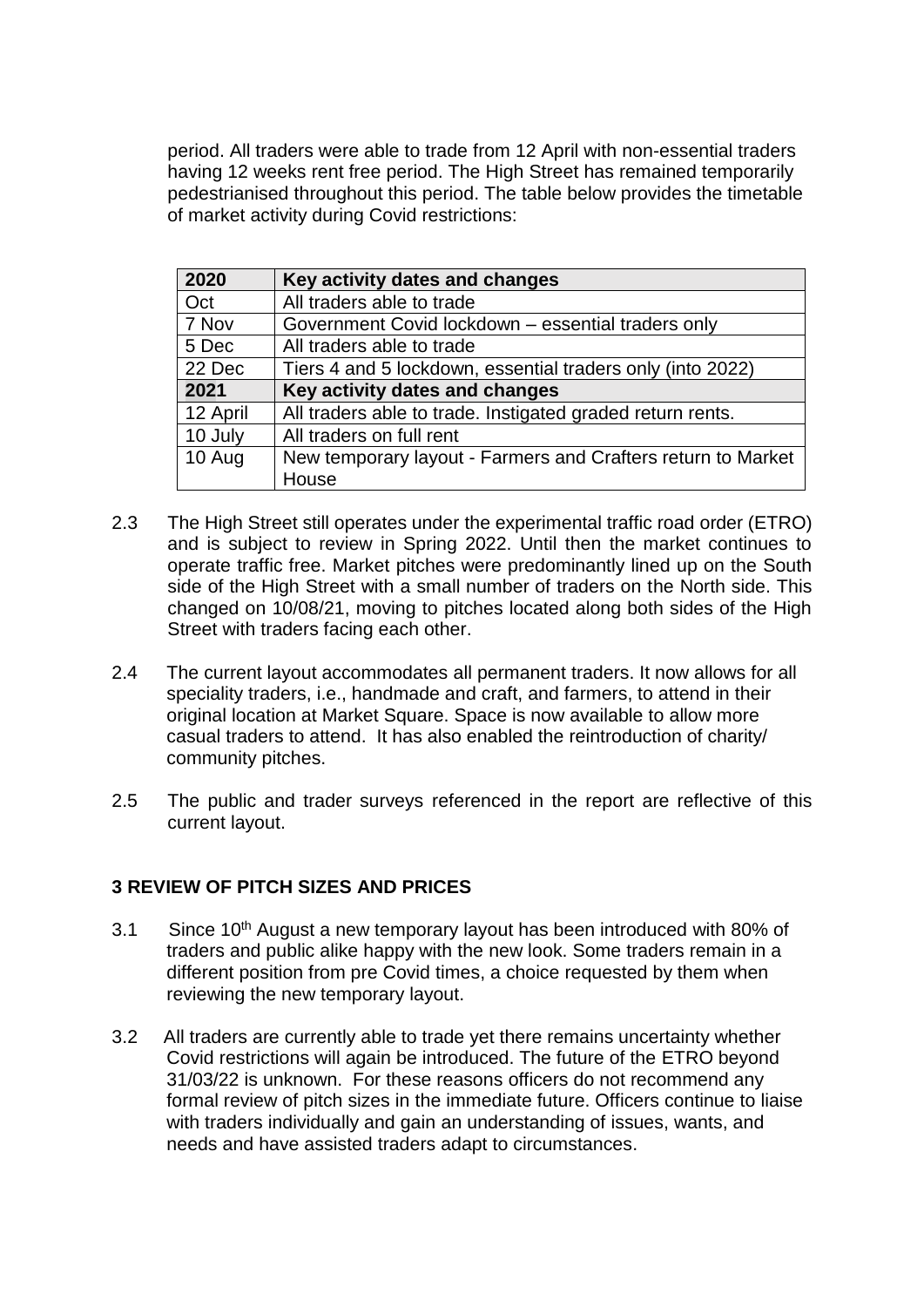period. All traders were able to trade from 12 April with non-essential traders having 12 weeks rent free period. The High Street has remained temporarily pedestrianised throughout this period. The table below provides the timetable of market activity during Covid restrictions:

| 2020     | Key activity dates and changes                               |
|----------|--------------------------------------------------------------|
| Oct      | All traders able to trade                                    |
| 7 Nov    | Government Covid lockdown - essential traders only           |
| 5 Dec    | All traders able to trade                                    |
| 22 Dec   | Tiers 4 and 5 lockdown, essential traders only (into 2022)   |
| 2021     | Key activity dates and changes                               |
| 12 April | All traders able to trade. Instigated graded return rents.   |
| 10 July  | All traders on full rent                                     |
| 10 Aug   | New temporary layout - Farmers and Crafters return to Market |
|          | House                                                        |

- 2.3 The High Street still operates under the experimental traffic road order (ETRO) and is subject to review in Spring 2022. Until then the market continues to operate traffic free. Market pitches were predominantly lined up on the South side of the High Street with a small number of traders on the North side. This changed on 10/08/21, moving to pitches located along both sides of the High Street with traders facing each other.
- 2.4 The current layout accommodates all permanent traders. It now allows for all speciality traders, i.e., handmade and craft, and farmers, to attend in their original location at Market Square. Space is now available to allow more casual traders to attend. It has also enabled the reintroduction of charity/ community pitches.
- 2.5 The public and trader surveys referenced in the report are reflective of this current layout.

### **3 REVIEW OF PITCH SIZES AND PRICES**

- 3.1 Since 10<sup>th</sup> August a new temporary layout has been introduced with 80% of traders and public alike happy with the new look. Some traders remain in a different position from pre Covid times, a choice requested by them when reviewing the new temporary layout.
- 3.2 All traders are currently able to trade yet there remains uncertainty whether Covid restrictions will again be introduced. The future of the ETRO beyond 31/03/22 is unknown. For these reasons officers do not recommend any formal review of pitch sizes in the immediate future. Officers continue to liaise with traders individually and gain an understanding of issues, wants, and needs and have assisted traders adapt to circumstances.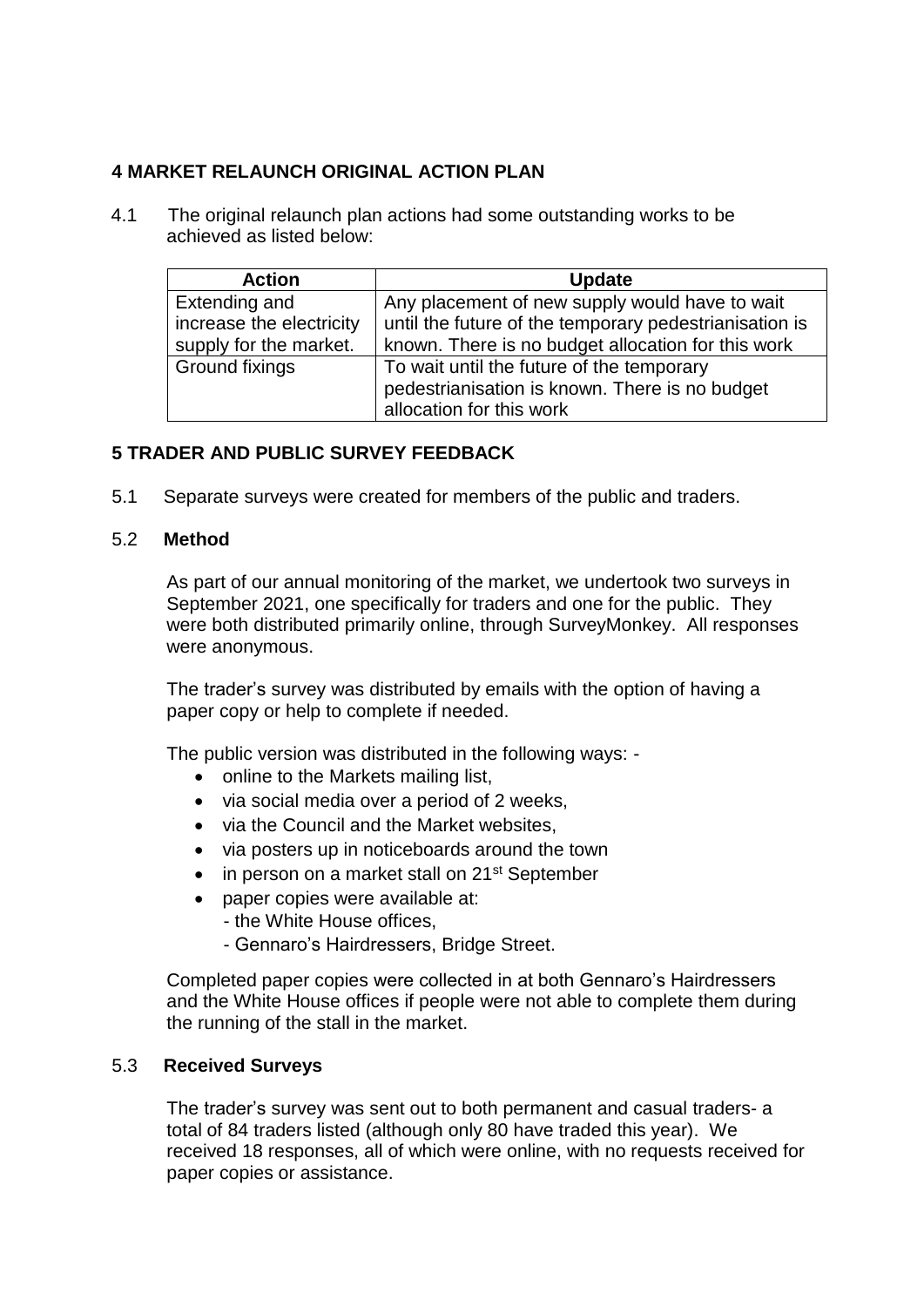## **4 MARKET RELAUNCH ORIGINAL ACTION PLAN**

 4.1 The original relaunch plan actions had some outstanding works to be achieved as listed below:

| <b>Action</b>            | <b>Update</b>                                          |
|--------------------------|--------------------------------------------------------|
| Extending and            | Any placement of new supply would have to wait         |
| increase the electricity | until the future of the temporary pedestrianisation is |
| supply for the market.   | known. There is no budget allocation for this work     |
| <b>Ground fixings</b>    | To wait until the future of the temporary              |
|                          | pedestrianisation is known. There is no budget         |
|                          | allocation for this work                               |

### **5 TRADER AND PUBLIC SURVEY FEEDBACK**

5.1 Separate surveys were created for members of the public and traders.

### 5.2 **Method**

As part of our annual monitoring of the market, we undertook two surveys in September 2021, one specifically for traders and one for the public. They were both distributed primarily online, through SurveyMonkey. All responses were anonymous.

The trader's survey was distributed by emails with the option of having a paper copy or help to complete if needed.

The public version was distributed in the following ways: -

- online to the Markets mailing list,
- via social media over a period of 2 weeks.
- via the Council and the Market websites.
- via posters up in noticeboards around the town
- in person on a market stall on 21<sup>st</sup> September
- paper copies were available at:
	- the White House offices,
	- Gennaro's Hairdressers, Bridge Street.

Completed paper copies were collected in at both Gennaro's Hairdressers and the White House offices if people were not able to complete them during the running of the stall in the market.

### 5.3 **Received Surveys**

The trader's survey was sent out to both permanent and casual traders- a total of 84 traders listed (although only 80 have traded this year). We received 18 responses, all of which were online, with no requests received for paper copies or assistance.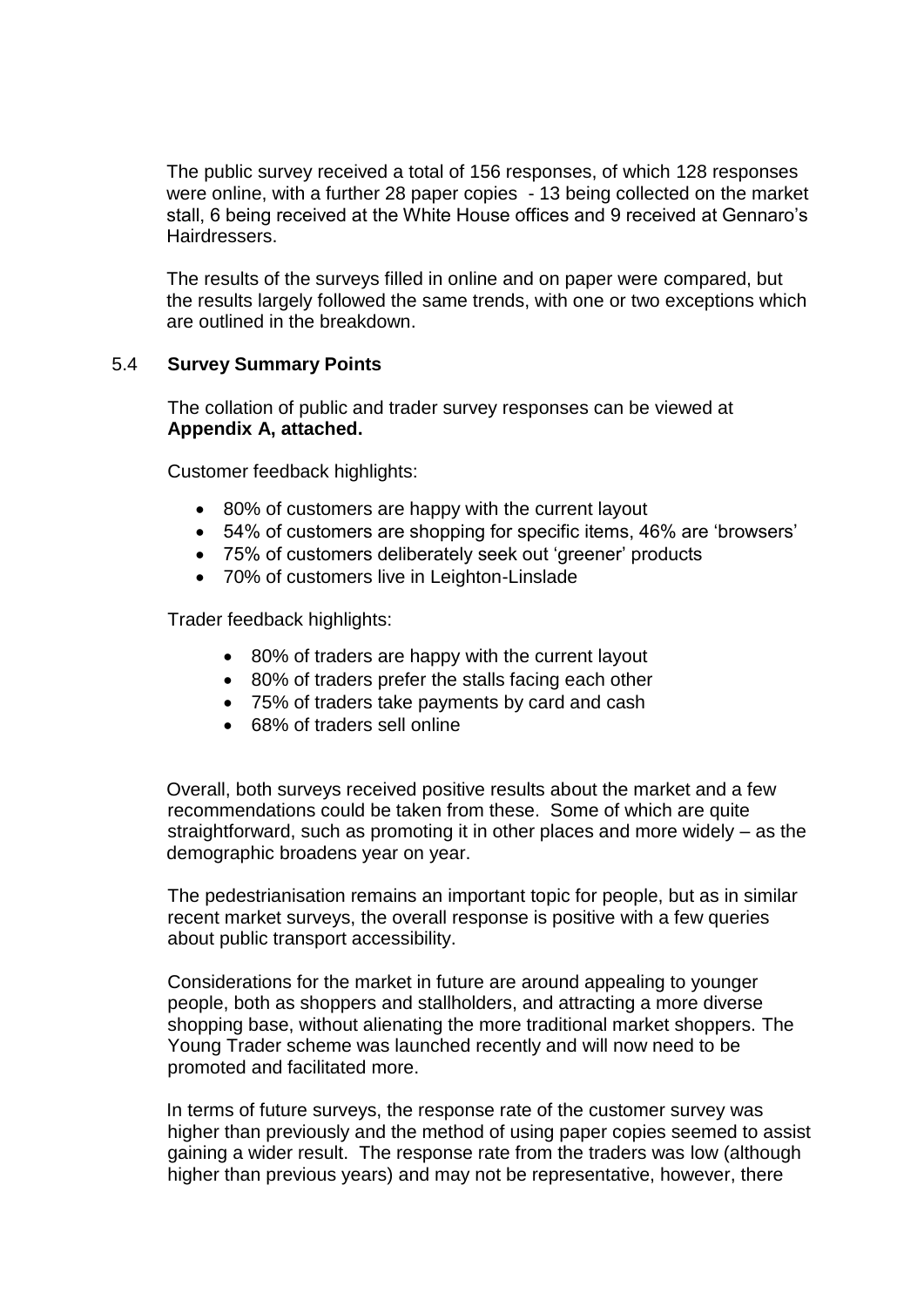The public survey received a total of 156 responses, of which 128 responses were online, with a further 28 paper copies - 13 being collected on the market stall, 6 being received at the White House offices and 9 received at Gennaro's Hairdressers.

The results of the surveys filled in online and on paper were compared, but the results largely followed the same trends, with one or two exceptions which are outlined in the breakdown.

### 5.4 **Survey Summary Points**

The collation of public and trader survey responses can be viewed at **Appendix A, attached.**

Customer feedback highlights:

- 80% of customers are happy with the current layout
- 54% of customers are shopping for specific items, 46% are 'browsers'
- 75% of customers deliberately seek out 'greener' products
- 70% of customers live in Leighton-Linslade

Trader feedback highlights:

- 80% of traders are happy with the current layout
- 80% of traders prefer the stalls facing each other
- 75% of traders take payments by card and cash
- 68% of traders sell online

Overall, both surveys received positive results about the market and a few recommendations could be taken from these. Some of which are quite straightforward, such as promoting it in other places and more widely – as the demographic broadens year on year.

The pedestrianisation remains an important topic for people, but as in similar recent market surveys, the overall response is positive with a few queries about public transport accessibility.

Considerations for the market in future are around appealing to younger people, both as shoppers and stallholders, and attracting a more diverse shopping base, without alienating the more traditional market shoppers. The Young Trader scheme was launched recently and will now need to be promoted and facilitated more.

In terms of future surveys, the response rate of the customer survey was higher than previously and the method of using paper copies seemed to assist gaining a wider result. The response rate from the traders was low (although higher than previous years) and may not be representative, however, there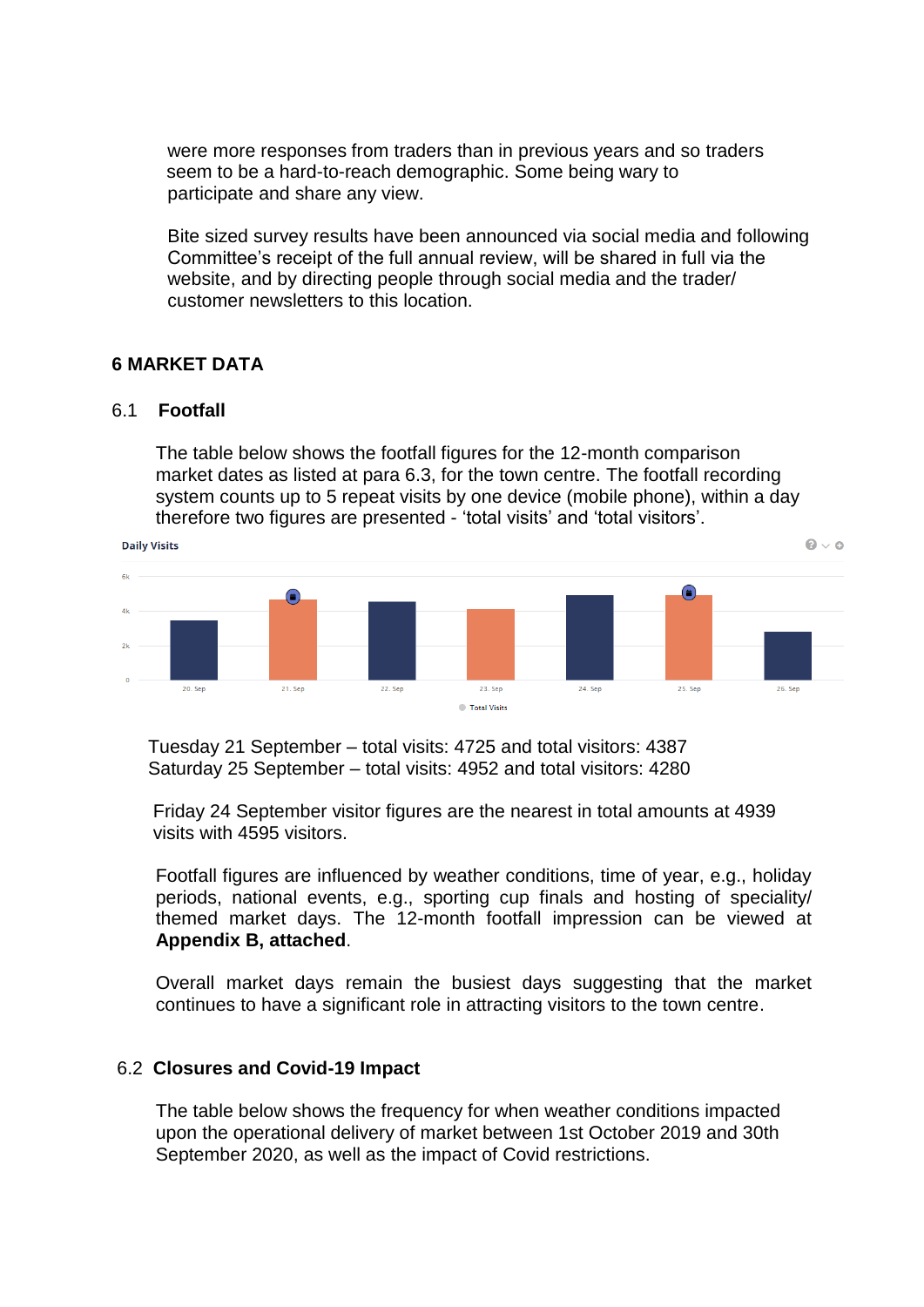were more responses from traders than in previous years and so traders seem to be a hard-to-reach demographic. Some being wary to participate and share any view.

Bite sized survey results have been announced via social media and following Committee's receipt of the full annual review, will be shared in full via the website, and by directing people through social media and the trader/ customer newsletters to this location.

### **6 MARKET DATA**

#### 6.1 **Footfall**

The table below shows the footfall figures for the 12-month comparison market dates as listed at para 6.3, for the town centre. The footfall recording system counts up to 5 repeat visits by one device (mobile phone), within a day therefore two figures are presented - 'total visits' and 'total visitors'.



 Tuesday 21 September – total visits: 4725 and total visitors: 4387 Saturday 25 September – total visits: 4952 and total visitors: 4280

 Friday 24 September visitor figures are the nearest in total amounts at 4939 visits with 4595 visitors.

Footfall figures are influenced by weather conditions, time of year, e.g., holiday periods, national events, e.g., sporting cup finals and hosting of speciality/ themed market days. The 12-month footfall impression can be viewed at **Appendix B, attached**.

Overall market days remain the busiest days suggesting that the market continues to have a significant role in attracting visitors to the town centre.

#### 6.2 **Closures and Covid-19 Impact**

The table below shows the frequency for when weather conditions impacted upon the operational delivery of market between 1st October 2019 and 30th September 2020, as well as the impact of Covid restrictions.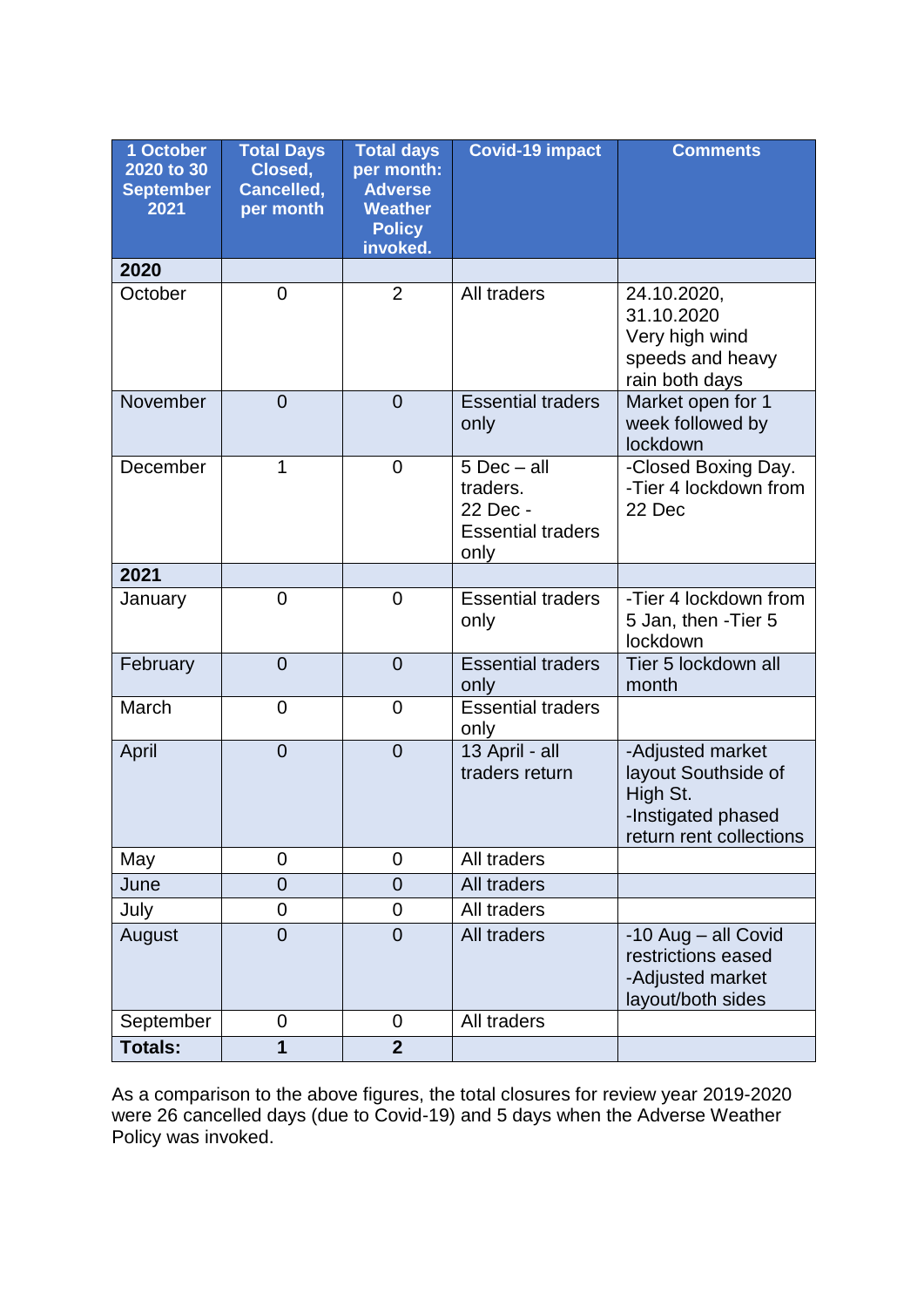| 1 October<br>2020 to 30<br><b>September</b><br>2021 | <b>Total Days</b><br>Closed,<br>Cancelled,<br>per month | <b>Total days</b><br>per month:<br><b>Adverse</b><br><b>Weather</b><br><b>Policy</b><br>invoked. | <b>Covid-19 impact</b>                                                      | <b>Comments</b>                                                                                      |
|-----------------------------------------------------|---------------------------------------------------------|--------------------------------------------------------------------------------------------------|-----------------------------------------------------------------------------|------------------------------------------------------------------------------------------------------|
| 2020                                                |                                                         |                                                                                                  |                                                                             |                                                                                                      |
| October                                             | 0                                                       | $\overline{2}$                                                                                   | All traders                                                                 | 24.10.2020,<br>31.10.2020<br>Very high wind<br>speeds and heavy<br>rain both days                    |
| November                                            | $\overline{0}$                                          | $\Omega$                                                                                         | <b>Essential traders</b><br>only                                            | Market open for 1<br>week followed by<br>lockdown                                                    |
| December                                            | 1                                                       | $\overline{0}$                                                                                   | $5$ Dec $-$ all<br>traders.<br>22 Dec -<br><b>Essential traders</b><br>only | -Closed Boxing Day.<br>-Tier 4 lockdown from<br>22 Dec                                               |
| 2021                                                |                                                         |                                                                                                  |                                                                             |                                                                                                      |
| January                                             | 0                                                       | $\overline{0}$                                                                                   | <b>Essential traders</b><br>only                                            | -Tier 4 lockdown from<br>5 Jan, then - Tier 5<br>lockdown                                            |
| February                                            | $\overline{0}$                                          | $\overline{0}$                                                                                   | <b>Essential traders</b><br>only                                            | Tier 5 lockdown all<br>month                                                                         |
| March                                               | 0                                                       | $\overline{0}$                                                                                   | <b>Essential traders</b><br>only                                            |                                                                                                      |
| April                                               | $\overline{0}$                                          | $\overline{0}$                                                                                   | 13 April - all<br>traders return                                            | -Adjusted market<br>layout Southside of<br>High St.<br>-Instigated phased<br>return rent collections |
| May                                                 | 0                                                       | $\overline{0}$                                                                                   | All traders                                                                 |                                                                                                      |
| June                                                | 0                                                       | $\overline{0}$                                                                                   | All traders                                                                 |                                                                                                      |
| July                                                | 0                                                       | $\overline{0}$                                                                                   | All traders                                                                 |                                                                                                      |
| August                                              | $\overline{0}$                                          | $\overline{0}$                                                                                   | All traders                                                                 | -10 Aug - all Covid<br>restrictions eased<br>-Adjusted market<br>layout/both sides                   |
| September                                           | 0                                                       | $\overline{0}$                                                                                   | All traders                                                                 |                                                                                                      |
| <b>Totals:</b>                                      | 1                                                       | $\overline{2}$                                                                                   |                                                                             |                                                                                                      |

As a comparison to the above figures, the total closures for review year 2019-2020 were 26 cancelled days (due to Covid-19) and 5 days when the Adverse Weather Policy was invoked.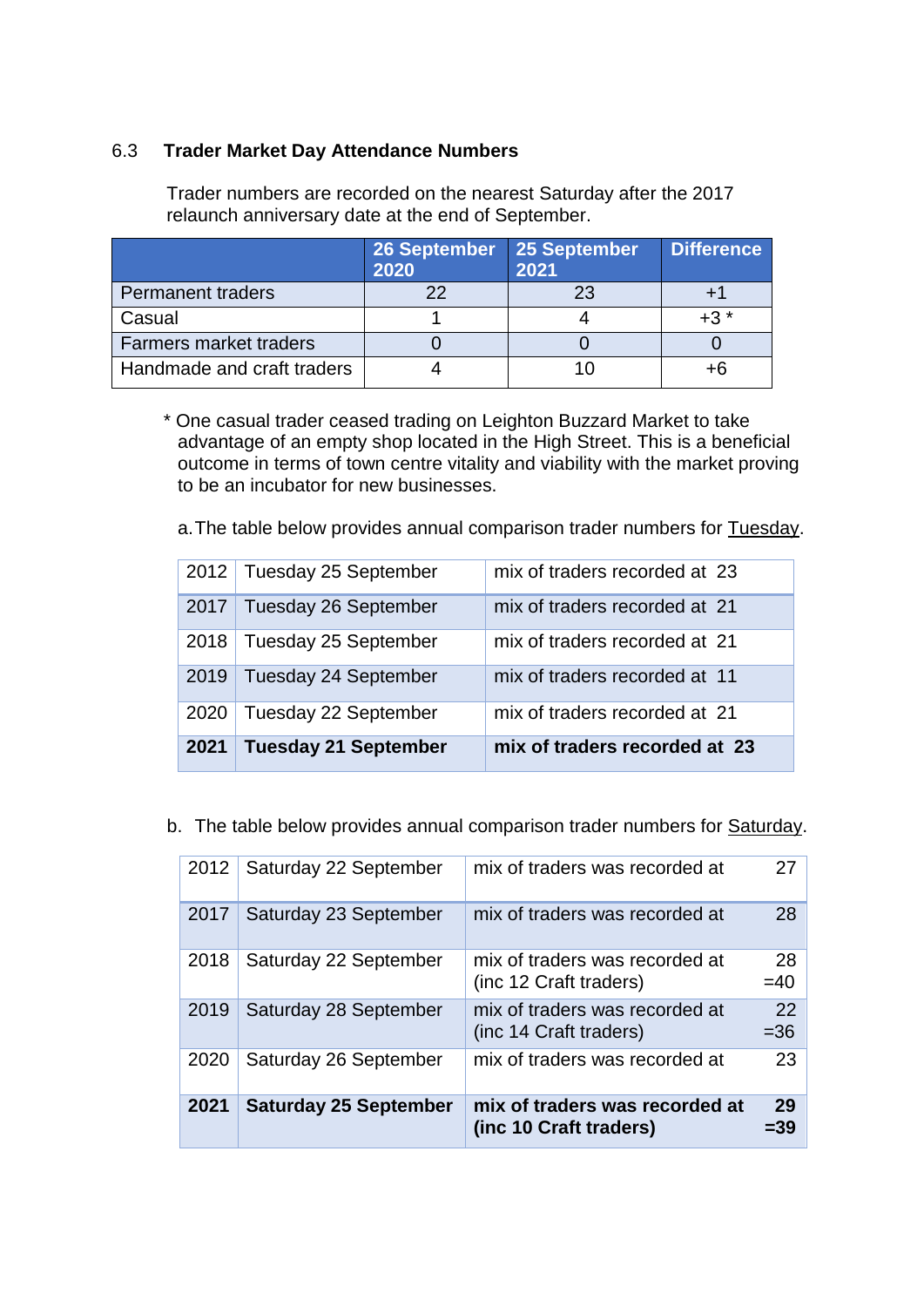### 6.3 **Trader Market Day Attendance Numbers**

Trader numbers are recorded on the nearest Saturday after the 2017 relaunch anniversary date at the end of September.

|                               | 26 September<br>2020 | 25 September<br>2021 | <b>Difference</b> |
|-------------------------------|----------------------|----------------------|-------------------|
| <b>Permanent traders</b>      |                      |                      |                   |
| Casual                        |                      |                      | $+3$ $*$          |
| <b>Farmers market traders</b> |                      |                      |                   |
| Handmade and craft traders    |                      |                      | +6                |

 \* One casual trader ceased trading on Leighton Buzzard Market to take advantage of an empty shop located in the High Street. This is a beneficial outcome in terms of town centre vitality and viability with the market proving to be an incubator for new businesses.

a.The table below provides annual comparison trader numbers for Tuesday.

|      | 2012   Tuesday 25 September | mix of traders recorded at 23 |
|------|-----------------------------|-------------------------------|
| 2017 | <b>Tuesday 26 September</b> | mix of traders recorded at 21 |
| 2018 | Tuesday 25 September        | mix of traders recorded at 21 |
| 2019 | <b>Tuesday 24 September</b> | mix of traders recorded at 11 |
| 2020 | Tuesday 22 September        | mix of traders recorded at 21 |
| 2021 | <b>Tuesday 21 September</b> | mix of traders recorded at 23 |

b. The table below provides annual comparison trader numbers for Saturday.

| 2012 | Saturday 22 September        | mix of traders was recorded at                           | 27           |
|------|------------------------------|----------------------------------------------------------|--------------|
| 2017 | Saturday 23 September        | mix of traders was recorded at                           | 28           |
| 2018 | Saturday 22 September        | mix of traders was recorded at<br>(inc 12 Craft traders) | 28<br>$=40$  |
| 2019 | Saturday 28 September        | mix of traders was recorded at<br>(inc 14 Craft traders) | 22<br>$= 36$ |
| 2020 | Saturday 26 September        | mix of traders was recorded at                           | 23           |
| 2021 | <b>Saturday 25 September</b> | mix of traders was recorded at<br>(inc 10 Craft traders) | 29<br>=39    |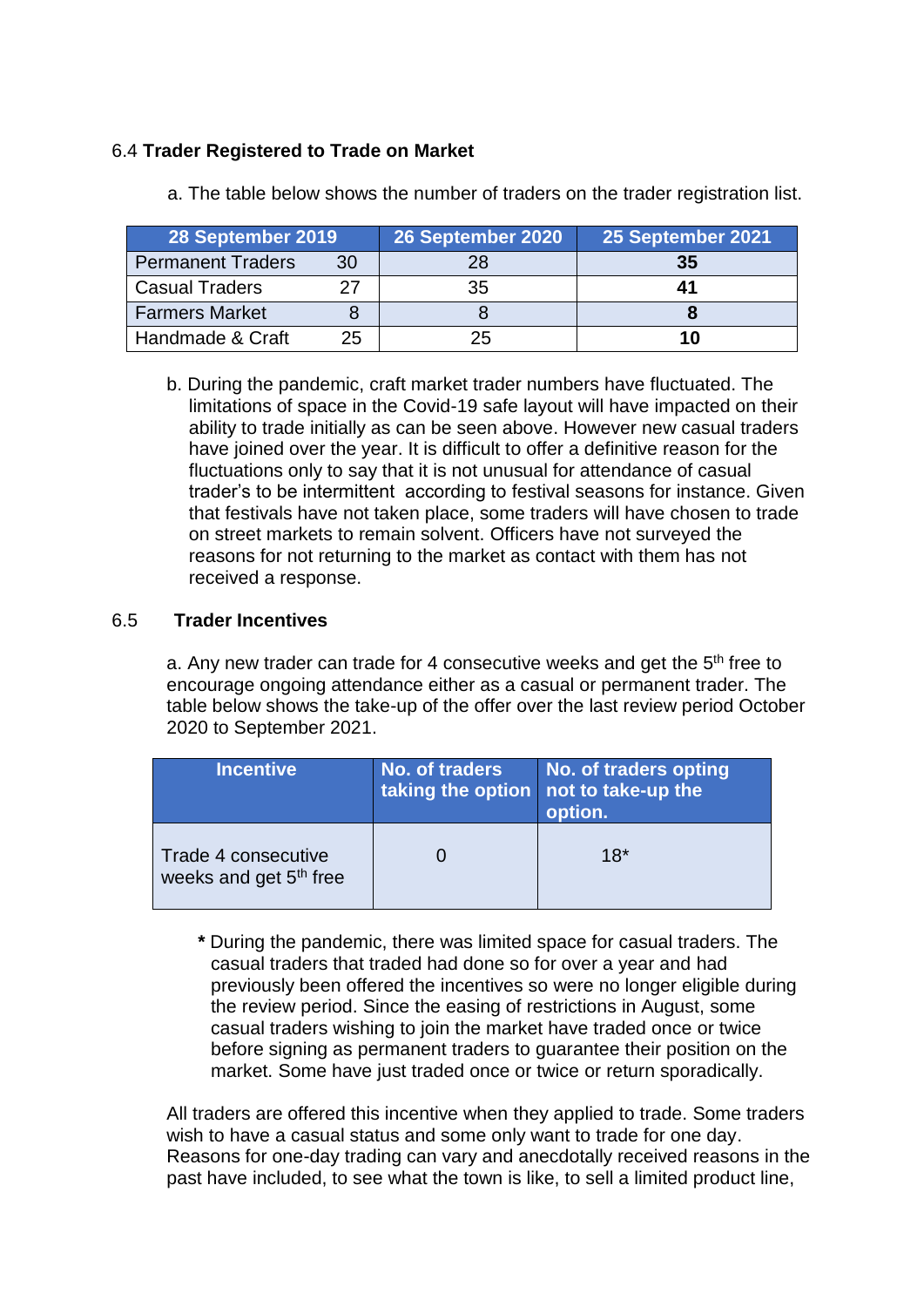### 6.4 **Trader Registered to Trade on Market**

| 28 September 2019     |    | 26 September 2020 | 25 September 2021 |
|-----------------------|----|-------------------|-------------------|
| Permanent Traders     | 30 | 28                | 35                |
| <b>Casual Traders</b> | クフ | 35                |                   |
| <b>Farmers Market</b> |    |                   |                   |
| Handmade & Craft      | 25 | 25                | 10                |

a. The table below shows the number of traders on the trader registration list.

b. During the pandemic, craft market trader numbers have fluctuated. The limitations of space in the Covid-19 safe layout will have impacted on their ability to trade initially as can be seen above. However new casual traders have joined over the year. It is difficult to offer a definitive reason for the fluctuations only to say that it is not unusual for attendance of casual trader's to be intermittent according to festival seasons for instance. Given that festivals have not taken place, some traders will have chosen to trade on street markets to remain solvent. Officers have not surveyed the reasons for not returning to the market as contact with them has not received a response.

### 6.5 **Trader Incentives**

a. Any new trader can trade for 4 consecutive weeks and get the  $5<sup>th</sup>$  free to encourage ongoing attendance either as a casual or permanent trader. The table below shows the take-up of the offer over the last review period October 2020 to September 2021.

| <b>Incentive</b>                                          | No. of traders | No. of traders opting<br>taking the option not to take-up the<br>option. |  |  |
|-----------------------------------------------------------|----------------|--------------------------------------------------------------------------|--|--|
| Trade 4 consecutive<br>weeks and get 5 <sup>th</sup> free |                | $18*$                                                                    |  |  |

 **\*** During the pandemic, there was limited space for casual traders. The casual traders that traded had done so for over a year and had previously been offered the incentives so were no longer eligible during the review period. Since the easing of restrictions in August, some casual traders wishing to join the market have traded once or twice before signing as permanent traders to guarantee their position on the market. Some have just traded once or twice or return sporadically.

All traders are offered this incentive when they applied to trade. Some traders wish to have a casual status and some only want to trade for one day. Reasons for one-day trading can vary and anecdotally received reasons in the past have included, to see what the town is like, to sell a limited product line,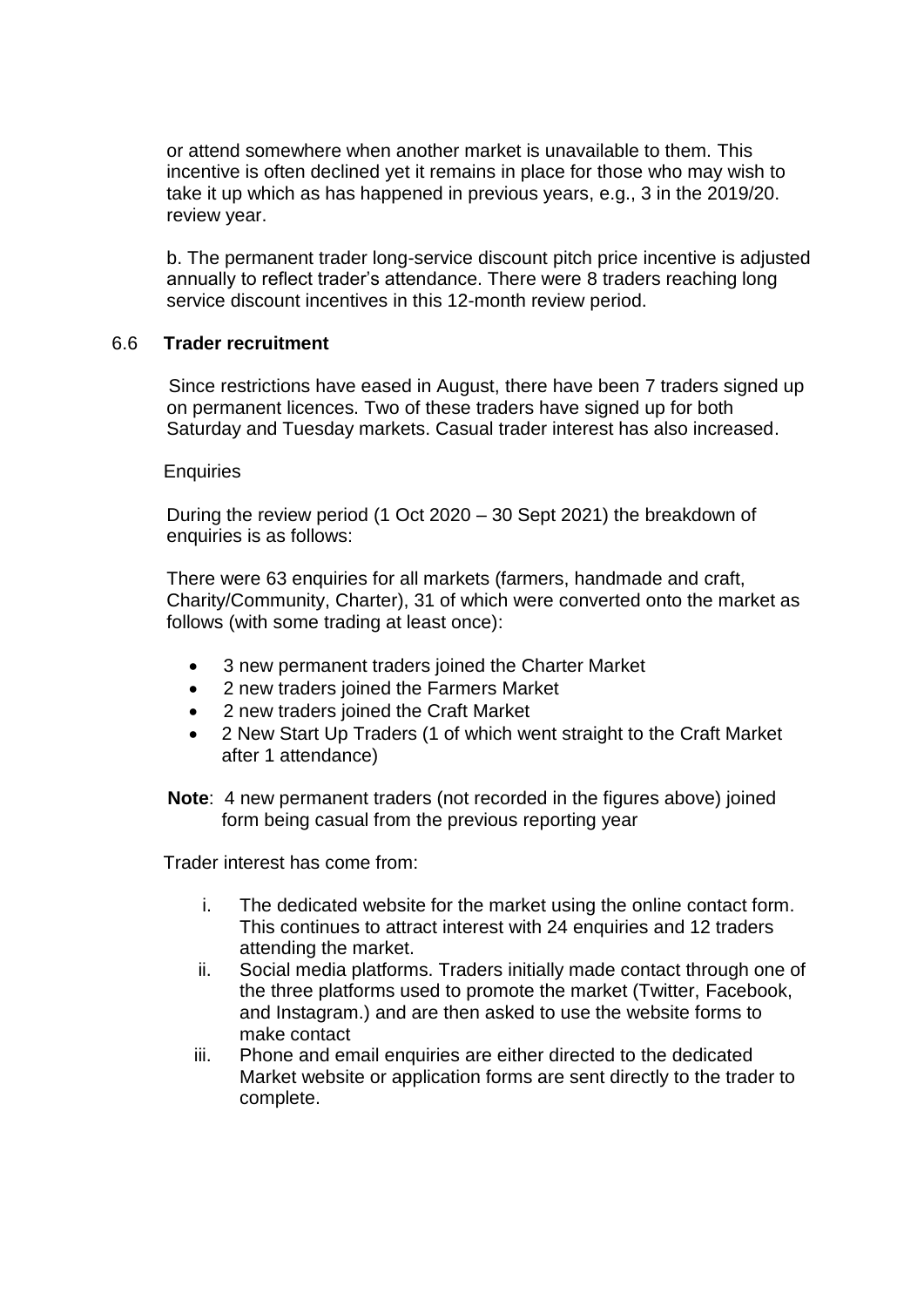or attend somewhere when another market is unavailable to them. This incentive is often declined yet it remains in place for those who may wish to take it up which as has happened in previous years, e.g., 3 in the 2019/20. review year.

b. The permanent trader long-service discount pitch price incentive is adjusted annually to reflect trader's attendance. There were 8 traders reaching long service discount incentives in this 12-month review period.

#### 6.6 **Trader recruitment**

Since restrictions have eased in August, there have been 7 traders signed up on permanent licences. Two of these traders have signed up for both Saturday and Tuesday markets. Casual trader interest has also increased.

#### **Enquiries**

During the review period (1 Oct 2020 – 30 Sept 2021) the breakdown of enquiries is as follows:

There were 63 enquiries for all markets (farmers, handmade and craft, Charity/Community, Charter), 31 of which were converted onto the market as follows (with some trading at least once):

- 3 new permanent traders joined the Charter Market
- 2 new traders joined the Farmers Market
- 2 new traders joined the Craft Market
- 2 New Start Up Traders (1 of which went straight to the Craft Market after 1 attendance)

**Note**: 4 new permanent traders (not recorded in the figures above) joined form being casual from the previous reporting year

Trader interest has come from:

- i. The dedicated website for the market using the online contact form. This continues to attract interest with 24 enquiries and 12 traders attending the market.
- ii. Social media platforms. Traders initially made contact through one of the three platforms used to promote the market (Twitter, Facebook, and Instagram.) and are then asked to use the website forms to make contact
- iii. Phone and email enquiries are either directed to the dedicated Market website or application forms are sent directly to the trader to complete.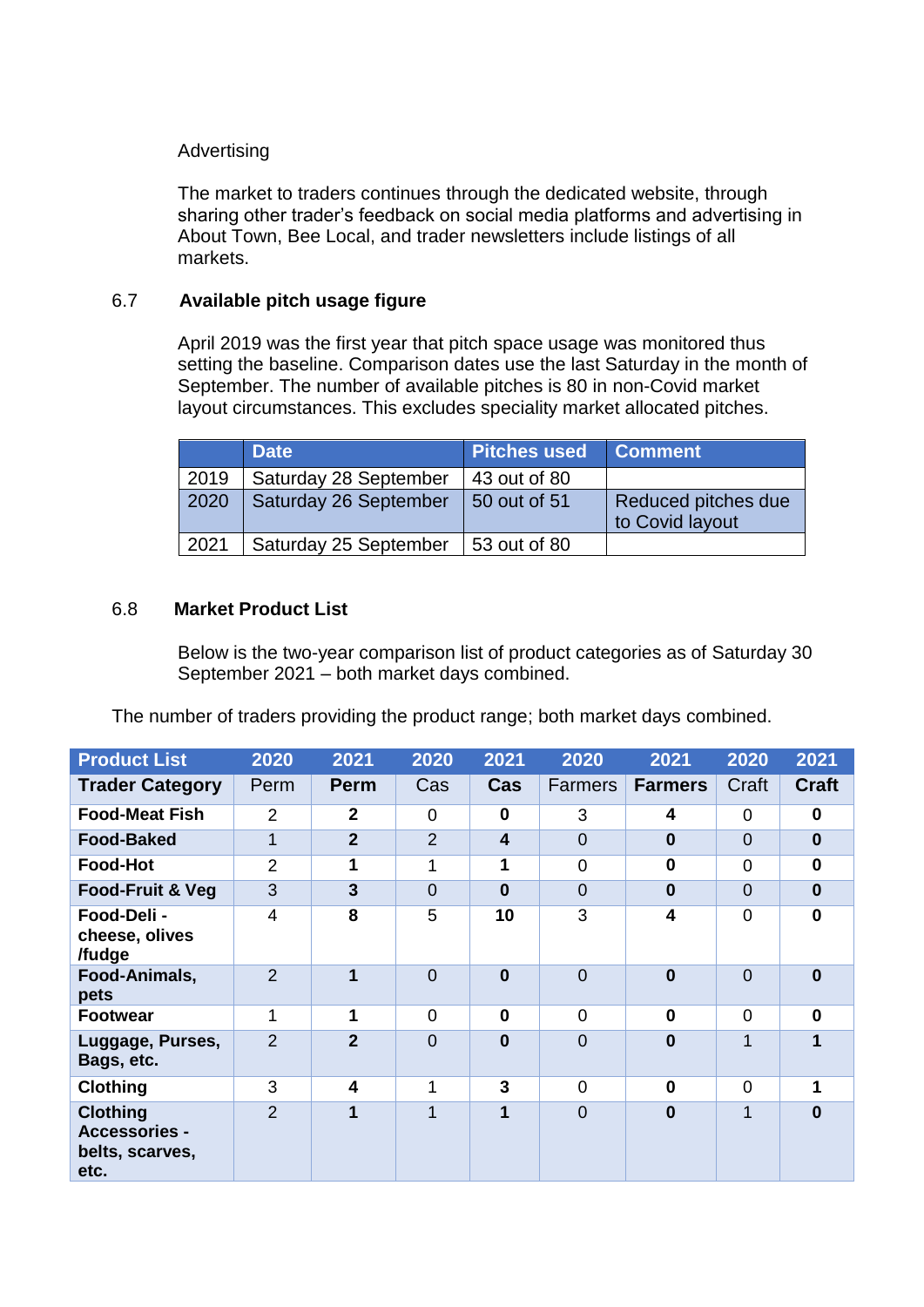### Advertising

The market to traders continues through the dedicated website, through sharing other trader's feedback on social media platforms and advertising in About Town, Bee Local, and trader newsletters include listings of all markets.

### 6.7 **Available pitch usage figure**

April 2019 was the first year that pitch space usage was monitored thus setting the baseline. Comparison dates use the last Saturday in the month of September. The number of available pitches is 80 in non-Covid market layout circumstances. This excludes speciality market allocated pitches.

|      | <b>Date</b>           | <b>Pitches used</b> | <b>Comment</b>                         |
|------|-----------------------|---------------------|----------------------------------------|
| 2019 | Saturday 28 September | 43 out of 80        |                                        |
| 2020 | Saturday 26 September | 50 out of 51        | Reduced pitches due<br>to Covid layout |
| 2021 | Saturday 25 September | 53 out of 80        |                                        |

### 6.8 **Market Product List**

Below is the two-year comparison list of product categories as of Saturday 30 September 2021 – both market days combined.

The number of traders providing the product range; both market days combined.

| <b>Product List</b>                                                | 2020           | 2021                 | 2020           | 2021                    | 2020           | 2021           | 2020           | 2021         |
|--------------------------------------------------------------------|----------------|----------------------|----------------|-------------------------|----------------|----------------|----------------|--------------|
| <b>Trader Category</b>                                             | Perm           | <b>Perm</b>          | Cas            | Cas                     | <b>Farmers</b> | <b>Farmers</b> | Craft          | <b>Craft</b> |
| <b>Food-Meat Fish</b>                                              | 2              | $\mathbf{2}$         | 0              | $\mathbf 0$             | 3              | 4              | 0              | $\bf{0}$     |
| <b>Food-Baked</b>                                                  | $\mathbf 1$    | $\overline{2}$       | $\overline{2}$ | $\overline{\mathbf{4}}$ | $\Omega$       | $\mathbf 0$    | $\overline{0}$ | $\bf{0}$     |
| <b>Food-Hot</b>                                                    | $\overline{2}$ | $\mathbf 1$          | 1              | 1                       | $\overline{0}$ | $\mathbf 0$    | $\overline{0}$ | $\mathbf{0}$ |
| Food-Fruit & Veg                                                   | 3              | $\overline{3}$       | $\overline{0}$ | $\bf{0}$                | $\overline{0}$ | $\mathbf 0$    | $\overline{0}$ | $\bf{0}$     |
| Food-Deli -<br>cheese, olives<br>/fudge                            | 4              | 8                    | 5              | 10                      | 3              | 4              | $\overline{0}$ | $\Omega$     |
| Food-Animals,<br>pets                                              | $\overline{2}$ | $\blacktriangleleft$ | $\overline{0}$ | $\bf{0}$                | $\overline{0}$ | $\mathbf{0}$   | $\overline{0}$ | $\Omega$     |
| <b>Footwear</b>                                                    | 1              | 1                    | $\overline{0}$ | $\mathbf 0$             | $\Omega$       | $\mathbf 0$    | $\Omega$       | $\bf{0}$     |
| Luggage, Purses,<br>Bags, etc.                                     | $\overline{2}$ | $\overline{2}$       | $\overline{0}$ | $\bf{0}$                | $\overline{0}$ | $\bf{0}$       | 1              |              |
| <b>Clothing</b>                                                    | 3              | 4                    | 1              | 3                       | $\Omega$       | $\bf{0}$       | $\Omega$       |              |
| <b>Clothing</b><br><b>Accessories -</b><br>belts, scarves,<br>etc. | $\mathcal{P}$  | 1                    | 1              | 1                       | $\overline{0}$ | $\bf{0}$       | 1              | $\Omega$     |